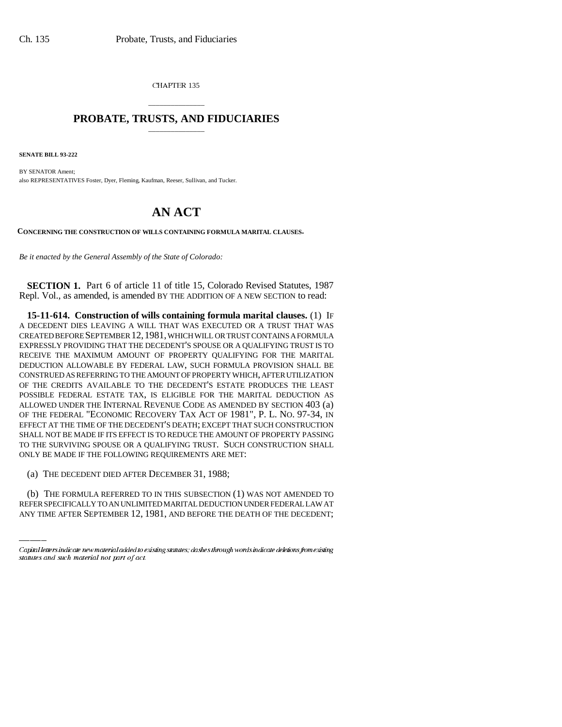CHAPTER 135

## \_\_\_\_\_\_\_\_\_\_\_\_\_\_\_ **PROBATE, TRUSTS, AND FIDUCIARIES** \_\_\_\_\_\_\_\_\_\_\_\_\_\_\_

**SENATE BILL 93-222**

BY SENATOR Ament; also REPRESENTATIVES Foster, Dyer, Fleming, Kaufman, Reeser, Sullivan, and Tucker.

## **AN ACT**

**CONCERNING THE CONSTRUCTION OF WILLS CONTAINING FORMULA MARITAL CLAUSES.**

*Be it enacted by the General Assembly of the State of Colorado:*

**SECTION 1.** Part 6 of article 11 of title 15, Colorado Revised Statutes, 1987 Repl. Vol., as amended, is amended BY THE ADDITION OF A NEW SECTION to read:

**15-11-614. Construction of wills containing formula marital clauses.** (1) IF A DECEDENT DIES LEAVING A WILL THAT WAS EXECUTED OR A TRUST THAT WAS CREATED BEFORE SEPTEMBER 12,1981, WHICH WILL OR TRUST CONTAINS A FORMULA EXPRESSLY PROVIDING THAT THE DECEDENT'S SPOUSE OR A QUALIFYING TRUST IS TO RECEIVE THE MAXIMUM AMOUNT OF PROPERTY QUALIFYING FOR THE MARITAL DEDUCTION ALLOWABLE BY FEDERAL LAW, SUCH FORMULA PROVISION SHALL BE CONSTRUED AS REFERRING TO THE AMOUNT OF PROPERTY WHICH, AFTER UTILIZATION OF THE CREDITS AVAILABLE TO THE DECEDENT'S ESTATE PRODUCES THE LEAST POSSIBLE FEDERAL ESTATE TAX, IS ELIGIBLE FOR THE MARITAL DEDUCTION AS ALLOWED UNDER THE INTERNAL REVENUE CODE AS AMENDED BY SECTION 403 (a) OF THE FEDERAL "ECONOMIC RECOVERY TAX ACT OF 1981", P. L. NO. 97-34, IN EFFECT AT THE TIME OF THE DECEDENT'S DEATH; EXCEPT THAT SUCH CONSTRUCTION SHALL NOT BE MADE IF ITS EFFECT IS TO REDUCE THE AMOUNT OF PROPERTY PASSING TO THE SURVIVING SPOUSE OR A QUALIFYING TRUST. SUCH CONSTRUCTION SHALL ONLY BE MADE IF THE FOLLOWING REQUIREMENTS ARE MET:

(a) THE DECEDENT DIED AFTER DECEMBER 31, 1988;

(b) THE FORMULA REFERRED TO IN THIS SUBSECTION (1) WAS NOT AMENDED TO REFER SPECIFICALLY TO AN UNLIMITED MARITAL DEDUCTION UNDER FEDERAL LAW AT ANY TIME AFTER SEPTEMBER 12, 1981, AND BEFORE THE DEATH OF THE DECEDENT;

Capital letters indicate new material added to existing statutes; dashes through words indicate deletions from existing statutes and such material not part of act.